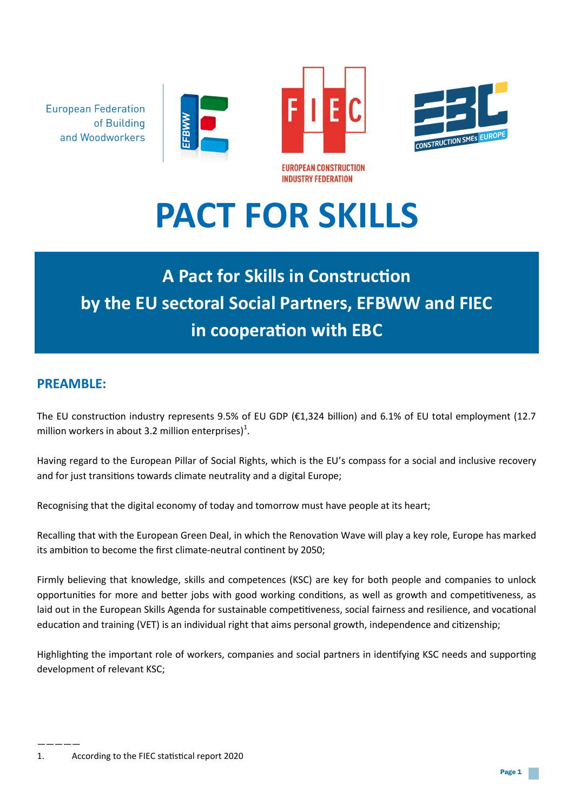**European Federation** of Building and Woodworkers







# **PACT FOR SKILLS**

# **A Pact for Skills in Construction by the EU sectoral Social Partners, EFBWW and FIEC in cooperation with EBC**

# **PREAMBLE:**

The EU construction industry represents 9.5% of EU GDP (€1,324 billion) and 6.1% of EU total employment (12.7 million workers in about 3.2 million enterprises) $^{1}$ .

Having regard to the European Pillar of Social Rights, which is the EU's compass for a social and inclusive recovery and for just transitions towards climate neutrality and a digital Europe;

Recognising that the digital economy of today and tomorrow must have people at its heart;

Recalling that with the European Green Deal, in which the Renovation Wave will play a key role, Europe has marked its ambition to become the first climate-neutral continent by 2050;

Firmly believing that knowledge, skills and competences (KSC) are key for both people and companies to unlock opportunities for more and better jobs with good working conditions, as well as growth and competitiveness, as laid out in the European Skills Agenda for sustainable competitiveness, social fairness and resilience, and vocational education and training (VET) is an individual right that aims personal growth, independence and citizenship;

Highlighting the important role of workers, companies and social partners in identifying KSC needs and supporting development of relevant KSC;

<sup>—————</sup> 1. According to the FIEC statistical report 2020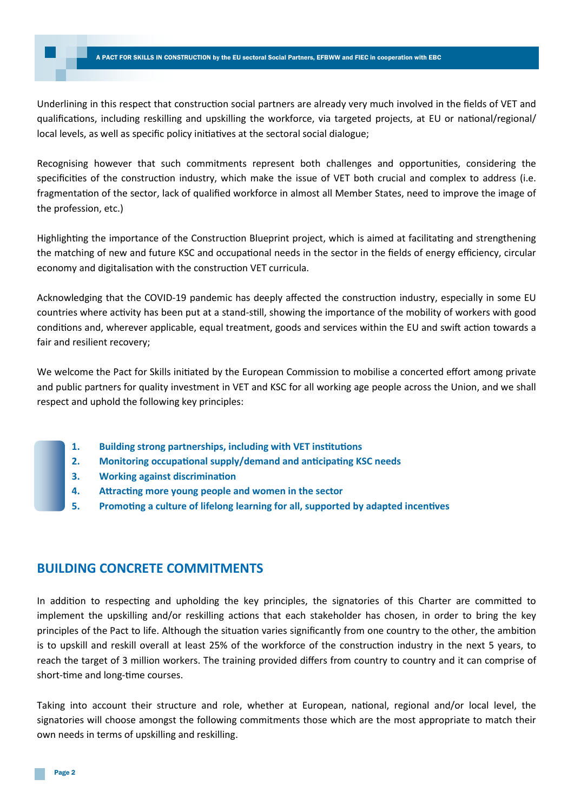#### A PACT FOR SKILLS IN CONSTRUCTION by the EU sectoral Social Partners, EFBWW and FIEC in cooperation with EBC A PACT FOR SKILLS IN CONSTRUCTION by the EU sectoral Social Partners, EFBWW and FIEC in cooperation with EBC

Underlining in this respect that construction social partners are already very much involved in the fields of VET and qualifications, including reskilling and upskilling the workforce, via targeted projects, at EU or national/regional/ local levels, as well as specific policy initiatives at the sectoral social dialogue;

Recognising however that such commitments represent both challenges and opportunities, considering the specificities of the construction industry, which make the issue of VET both crucial and complex to address (i.e. fragmentation of the sector, lack of qualified workforce in almost all Member States, need to improve the image of the profession, etc.)

Highlighting the importance of the Construction Blueprint project, which is aimed at facilitating and strengthening the matching of new and future KSC and occupational needs in the sector in the fields of energy efficiency, circular economy and digitalisation with the construction VET curricula.

Acknowledging that the COVID-19 pandemic has deeply affected the construction industry, especially in some EU countries where activity has been put at a stand-still, showing the importance of the mobility of workers with good conditions and, wherever applicable, equal treatment, goods and services within the EU and swift action towards a fair and resilient recovery;

We welcome the Pact for Skills initiated by the European Commission to mobilise a concerted effort among private and public partners for quality investment in VET and KSC for all working age people across the Union, and we shall respect and uphold the following key principles:

- **1. Building strong partnerships, including with VET institutions**
- **2. Monitoring occupational supply/demand and anticipating KSC needs**
- **3. Working against discrimination**
- **4. Attracting more young people and women in the sector**
- **5. Promoting a culture of lifelong learning for all, supported by adapted incentives**

# **BUILDING CONCRETE COMMITMENTS**

In addition to respecting and upholding the key principles, the signatories of this Charter are committed to implement the upskilling and/or reskilling actions that each stakeholder has chosen, in order to bring the key principles of the Pact to life. Although the situation varies significantly from one country to the other, the ambition is to upskill and reskill overall at least 25% of the workforce of the construction industry in the next 5 years, to reach the target of 3 million workers. The training provided differs from country to country and it can comprise of short-time and long-time courses.

Taking into account their structure and role, whether at European, national, regional and/or local level, the signatories will choose amongst the following commitments those which are the most appropriate to match their own needs in terms of upskilling and reskilling.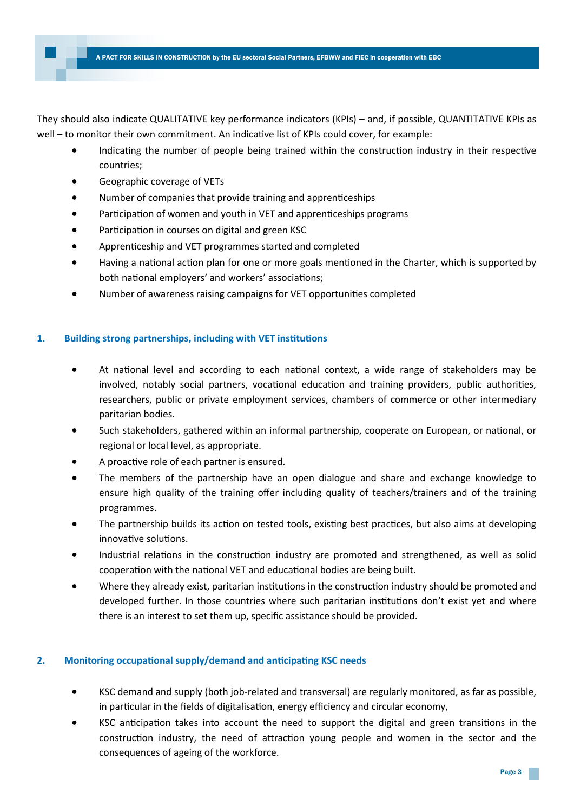They should also indicate QUALITATIVE key performance indicators (KPIs) – and, if possible, QUANTITATIVE KPIs as well – to monitor their own commitment. An indicative list of KPIs could cover, for example:

- Indicating the number of people being trained within the construction industry in their respective countries;
- Geographic coverage of VETs
- Number of companies that provide training and apprenticeships
- Participation of women and youth in VET and apprenticeships programs
- Participation in courses on digital and green KSC
- Apprenticeship and VET programmes started and completed
- Having a national action plan for one or more goals mentioned in the Charter, which is supported by both national employers' and workers' associations;
- Number of awareness raising campaigns for VET opportunities completed

# **1. Building strong partnerships, including with VET institutions**

- At national level and according to each national context, a wide range of stakeholders may be involved, notably social partners, vocational education and training providers, public authorities, researchers, public or private employment services, chambers of commerce or other intermediary paritarian bodies.
- Such stakeholders, gathered within an informal partnership, cooperate on European, or national, or regional or local level, as appropriate.
- A proactive role of each partner is ensured.
- The members of the partnership have an open dialogue and share and exchange knowledge to ensure high quality of the training offer including quality of teachers/trainers and of the training programmes.
- The partnership builds its action on tested tools, existing best practices, but also aims at developing innovative solutions.
- Industrial relations in the construction industry are promoted and strengthened, as well as solid cooperation with the national VET and educational bodies are being built.
- Where they already exist, paritarian institutions in the construction industry should be promoted and developed further. In those countries where such paritarian institutions don't exist yet and where there is an interest to set them up, specific assistance should be provided.

# **2. Monitoring occupational supply/demand and anticipating KSC needs**

- KSC demand and supply (both job-related and transversal) are regularly monitored, as far as possible, in particular in the fields of digitalisation, energy efficiency and circular economy,
- KSC anticipation takes into account the need to support the digital and green transitions in the construction industry, the need of attraction young people and women in the sector and the consequences of ageing of the workforce.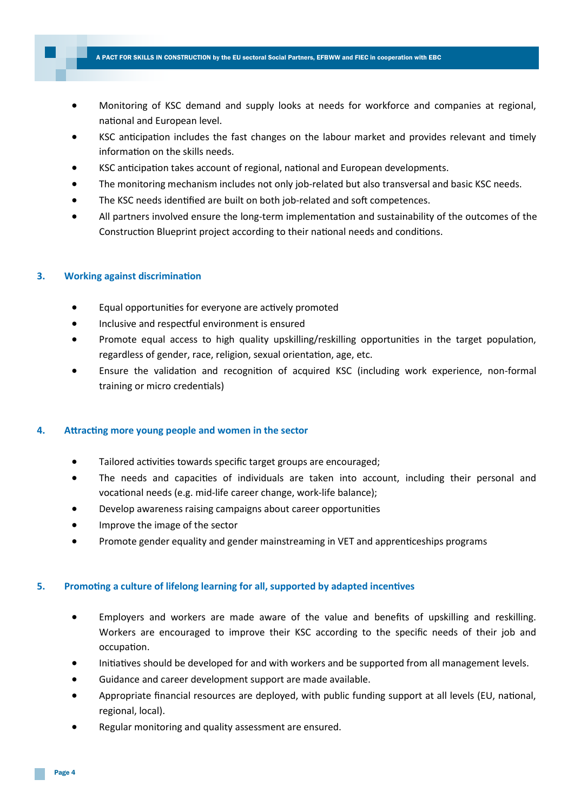- Monitoring of KSC demand and supply looks at needs for workforce and companies at regional, national and European level.
- KSC anticipation includes the fast changes on the labour market and provides relevant and timely information on the skills needs.
- KSC anticipation takes account of regional, national and European developments.
- The monitoring mechanism includes not only job-related but also transversal and basic KSC needs.
- The KSC needs identified are built on both job-related and soft competences.
- All partners involved ensure the long-term implementation and sustainability of the outcomes of the Construction Blueprint project according to their national needs and conditions.

#### **3. Working against discrimination**

- Equal opportunities for everyone are actively promoted
- Inclusive and respectful environment is ensured
- Promote equal access to high quality upskilling/reskilling opportunities in the target population, regardless of gender, race, religion, sexual orientation, age, etc.
- Ensure the validation and recognition of acquired KSC (including work experience, non-formal training or micro credentials)

#### **4. Attracting more young people and women in the sector**

- Tailored activities towards specific target groups are encouraged;
- The needs and capacities of individuals are taken into account, including their personal and vocational needs (e.g. mid-life career change, work-life balance);
- Develop awareness raising campaigns about career opportunities
- Improve the image of the sector
- Promote gender equality and gender mainstreaming in VET and apprenticeships programs

#### **5. Promoting a culture of lifelong learning for all, supported by adapted incentives**

- Employers and workers are made aware of the value and benefits of upskilling and reskilling. Workers are encouraged to improve their KSC according to the specific needs of their job and occupation.
- Initiatives should be developed for and with workers and be supported from all management levels.
- Guidance and career development support are made available.
- Appropriate financial resources are deployed, with public funding support at all levels (EU, national, regional, local).
- Regular monitoring and quality assessment are ensured.